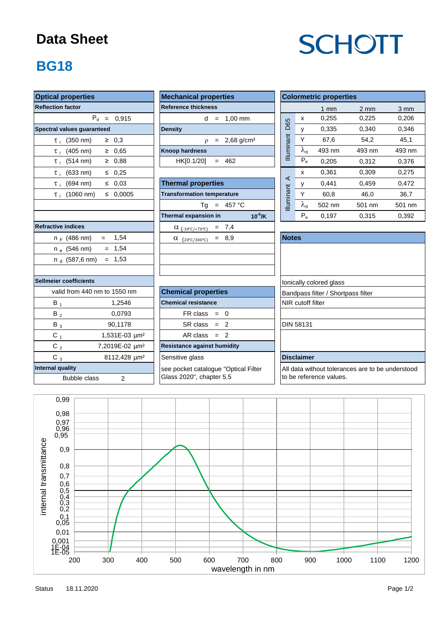#### **Data Sheet**

# **SCHOTT**

### **BG18**

| <b>Optical properties</b>                | <b>Mechanical properties</b>         | <b>Colormetric properties</b>                    |  |  |  |
|------------------------------------------|--------------------------------------|--------------------------------------------------|--|--|--|
| <b>Reflection factor</b>                 | <b>Reference thickness</b>           | $1$ mm                                           |  |  |  |
| $P_d = 0,915$                            | $d = 1.00$ mm                        | 0,255<br>X                                       |  |  |  |
| Spectral values guaranteed               | <b>Density</b>                       | D65<br>0,335<br>y                                |  |  |  |
| $\geq 0,3$<br>$\tau_{\text{+}}$ (350 nm) | $p = 2,68$ g/cm <sup>3</sup>         | Illuminant<br>Y<br>67,6                          |  |  |  |
| $\geq 0,65$<br>$\tau_{i}$ (405 nm)       | Knoop hardness                       | $\lambda_{\rm d}$<br>493 nm                      |  |  |  |
| $\tau_{i}$ (514 nm)<br>$\geq 0,88$       | $= 462$<br>HK[0.1/20]                | $P_e$<br>0,205                                   |  |  |  |
| $\tau_{i}$ (633 nm)<br>$\leq 0.25$       |                                      | 0,361<br>x                                       |  |  |  |
| $\tau_i$ (694 nm)<br>$\leq 0.03$         | <b>Thermal properties</b>            | $\prec$<br>0,441<br>у                            |  |  |  |
| $\leq 0,0005$<br>$\tau_i$ (1060 nm)      | <b>Transformation temperature</b>    | Y<br>60,8                                        |  |  |  |
|                                          | $Tg = 457 °C$                        | <b>Illuminant</b><br>$\lambda_{\sf d}$<br>502 nm |  |  |  |
|                                          | Thermal expansion in<br>$10^{-6}$ /K | $P_e$<br>0,197                                   |  |  |  |
| <b>Refractive indices</b>                | $= 7,4$<br>$\alpha$ (-30°C/+70°C)    |                                                  |  |  |  |
| $= 1,54$<br>n <sub>F</sub> (486 nm)      | $= 8,9$<br>$\alpha$ (20°C/300°C)     | <b>Notes</b>                                     |  |  |  |
| $= 1,54$<br>$n_e$ (546 nm)               |                                      |                                                  |  |  |  |
| $= 1,53$<br>n $_{\rm d}$ (587,6 nm)      |                                      |                                                  |  |  |  |
| Sellmeier coefficients                   |                                      | Ionically colored glass                          |  |  |  |
| valid from 440 nm to 1550 nm             | <b>Chemical properties</b>           | Bandpass filter / Shortpass                      |  |  |  |
| $B_1$<br>1,2546                          | <b>Chemical resistance</b>           | NIR cutoff filter                                |  |  |  |
| 0,0793<br>$B_2$                          | $FR \text{ class } = 0$              |                                                  |  |  |  |
| 90,1178<br>$B_3$                         | $SR class = 2$                       | <b>DIN 58131</b>                                 |  |  |  |
| $C_1$<br>1,531E-03 µm <sup>2</sup>       | $AR class = 2$                       |                                                  |  |  |  |
| $C_2$<br>7,2019E-02 µm <sup>2</sup>      | <b>Resistance against humidity</b>   |                                                  |  |  |  |
| $C_3$<br>8112,428 µm <sup>2</sup>        | Sensitive glass                      | <b>Disclaimer</b>                                |  |  |  |
| <b>Internal quality</b>                  | see pocket catalogue "Optical Filter | All data without tolerances                      |  |  |  |
| <b>Bubble class</b><br>$\overline{2}$    | Glass 2020", chapter 5.5             | to be reference values.                          |  |  |  |

| <b>Mechanical properties</b> |  |  |                              |  |  |  |  |  |
|------------------------------|--|--|------------------------------|--|--|--|--|--|
| <b>Reference thickness</b>   |  |  |                              |  |  |  |  |  |
|                              |  |  | $d = 1.00$ mm                |  |  |  |  |  |
| <b>Density</b>               |  |  |                              |  |  |  |  |  |
|                              |  |  | $p = 2,68$ g/cm <sup>3</sup> |  |  |  |  |  |
| <b>Knoop hardness</b>        |  |  |                              |  |  |  |  |  |
| $HK[0.1/20] = 462$           |  |  |                              |  |  |  |  |  |
|                              |  |  |                              |  |  |  |  |  |

| $(694 \, \text{nm})$<br>$\leq 0.03$<br>$\tau$ i | <b>Thermal properties</b>                         | ∼            |                            | 0,441  | 0,459  | 0,472  |
|-------------------------------------------------|---------------------------------------------------|--------------|----------------------------|--------|--------|--------|
| $\leq 0.0005$<br>$\tau_{\rm{i}}$ (1060 nm)      | <b>Transformation temperature</b>                 | inant        | v                          | 60,8   | 46,0   | 36,7   |
|                                                 | 457 °C<br>Тg<br>$=$                               | İumi         | $\mathcal{N}_{\mathsf{d}}$ | 502 nm | 501 nm | 501 nr |
|                                                 | $10^6$ /K<br>Thermal expansion in                 |              | $P_e$                      | 0,197  | 0.315  | 0,392  |
| tive indices                                    | $= 7,4$<br>$\alpha$ (-30°C/+70°C)                 |              |                            |        |        |        |
| 1,54<br>n <sub>F</sub> (486 nm)<br>$=$          | $= 8,9$<br>α<br>$(20^{\circ}$ C/300 $^{\circ}$ C) | <b>Notes</b> |                            |        |        |        |
| $= 1.54$<br>n <sub>e</sub> (546 nm)             |                                                   |              |                            |        |        |        |
| $= 1,53$<br>n <sub>d</sub> (587,6 nm)           |                                                   |              |                            |        |        |        |
|                                                 |                                                   |              |                            |        |        |        |

| וסו טטסוווטוסוונס           |                           |                             | Tionically colored glass           |  |  |  |
|-----------------------------|---------------------------|-----------------------------|------------------------------------|--|--|--|
| alid from 440 nm to 1550 nm |                           | <b>Chemical properties</b>  | Bandpass filter / Shortpass filter |  |  |  |
| В,                          | 1.2546                    | <b>Chemical resistance</b>  | NIR cutoff filter                  |  |  |  |
| B,                          | 0.0793                    | $FR \text{ class } = 0$     |                                    |  |  |  |
| $B_3$                       | 90.1178                   | $SR class = 2$              | <b>DIN 58131</b>                   |  |  |  |
| C 1                         | 1,531E-03 µm <sup>2</sup> | $AR class = 2$              |                                    |  |  |  |
| r.                          | $7.2010F.02 \cdot 10^{2}$ | Resistance against humidity |                                    |  |  |  |

| <b>Optical properties</b>                       | <b>Mechanical properties</b>                | <b>Colormetric properties</b> |                            |        |                  |                  |
|-------------------------------------------------|---------------------------------------------|-------------------------------|----------------------------|--------|------------------|------------------|
| <b>Reflection factor</b>                        | <b>Reference thickness</b>                  |                               |                            | 1 $mm$ | $2 \, \text{mm}$ | $3 \, \text{mm}$ |
| $P_{d}$<br>0.915<br>$=$                         | $1,00$ mm<br>d<br>$=$                       | D65                           | x                          | 0,255  | 0,225            | 0,206            |
| Spectral values quaranteed                      | <b>Density</b>                              |                               | $\mathbf{v}$               | 0.335  | 0.340            | 0,346            |
| $(350 \text{ nm})$<br>$\geq 0.3$<br>$\tau$ i    | $2,68$ g/cm <sup>3</sup><br>$\Omega$<br>$=$ | nant                          | $\check{ }$                | 67.6   | 54,2             | 45,1             |
| $\geq 0.65$<br>$(405 \text{ nm})$<br>$\tau$ :   | <b>Knoop hardness</b>                       | Illumir                       | $\mathcal{N}_{\mathsf{d}}$ | 493 nm | 493 nm           | 493 nm           |
| $(514 \text{ nm})$<br>0.88<br>≥<br>$\tau$ ;     | HK[0.1/20]<br>462<br>$=$                    |                               | $P_e$                      | 0.205  | 0.312            | 0,376            |
| $(633 \, \text{nm})$<br>$\leq$ 0.25<br>$\tau$ i |                                             |                               | x                          | 0.361  | 0.309            | 0,275            |
| 0.03<br>$(694 \text{ nm})$<br>≤<br>$\tau$ i     | <b>Thermal properties</b>                   | ⋖                             |                            | 0.441  | 0.459            | 0,472            |
| 0,0005<br>$(1060 \text{ nm})$<br>≤<br>$\tau$ :  | <b>Transformation temperature</b>           | inant                         | $\check{ }$                | 60.8   | 46,0             | 36,7             |
| 457 °C<br>Тg<br>$=$                             |                                             | m                             | $\mathcal{N}^{\mathsf{q}}$ | 502 nm | 501 nm           | 501 nm           |

| <b>Notes</b>                                     |  |
|--------------------------------------------------|--|
|                                                  |  |
|                                                  |  |
|                                                  |  |
| Ionically colored glass                          |  |
| Bandpass filter / Shortpass filter               |  |
| NIR cutoff filter                                |  |
|                                                  |  |
| <b>DIN 58131</b>                                 |  |
|                                                  |  |
|                                                  |  |
| <b>Disclaimer</b>                                |  |
| All data without tolerances are to be understood |  |
| to be reference values.                          |  |